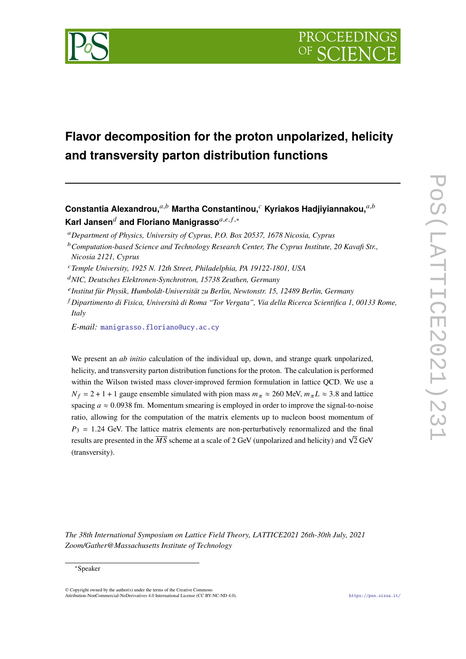

# **Flavor decomposition for the proton unpolarized, helicity and transversity parton distribution functions**

**Constantia Alexandrou,**<sup>a,b</sup> Martha Constantinou,<sup>c</sup> Kyriakos Hadjiyiannakou,<sup>a,b</sup> **Karl Jansen<sup>d</sup> and Floriano Manigrasso**<sup>a,e, f,∗</sup>

- *Temple University, 1925 N. 12th Street, Philadelphia, PA 19122-1801, USA*
- *NIC, Deutsches Elektronen-Synchrotron, 15738 Zeuthen, Germany*
- *Institut für Physik, Humboldt-Universität zu Berlin, Newtonstr. 15, 12489 Berlin, Germany*
- *Dipartimento di Fisica, Università di Roma "Tor Vergata", Via della Ricerca Scientifica 1, 00133 Rome, Italy*
- *E-mail:* [manigrasso.floriano@ucy.ac.cy](mailto:manigrasso.floriano@ucy.ac.cy)

We present an *ab initio* calculation of the individual up, down, and strange quark unpolarized, helicity, and transversity parton distribution functions for the proton. The calculation is performed within the Wilson twisted mass clover-improved fermion formulation in lattice QCD. We use a  $N_f = 2 + 1 + 1$  gauge ensemble simulated with pion mass  $m_\pi \approx 260$  MeV,  $m_\pi L \approx 3.8$  and lattice spacing  $a \approx 0.0938$  fm. Momentum smearing is employed in order to improve the signal-to-noise ratio, allowing for the computation of the matrix elements up to nucleon boost momentum of  $P_3 = 1.24$  GeV. The lattice matrix elements are non-perturbatively renormalized and the final results are presented in the  $\overline{MS}$  scheme at a scale of 2 GeV (unpolarized and helicity) and  $\sqrt{2}$  GeV (transversity).

*The 38th International Symposium on Lattice Field Theory, LATTICE2021 26th-30th July, 2021 Zoom/Gather@Massachusetts Institute of Technology*

*Department of Physics, University of Cyprus, P.O. Box 20537, 1678 Nicosia, Cyprus*

*Computation-based Science and Technology Research Center, The Cyprus Institute, 20 Kavafi Str., Nicosia 2121, Cyprus*

<sup>∗</sup>Speaker

<sup>©</sup> Copyright owned by the author(s) under the terms of the Creative Commons Attribution-NonCommercial-NoDerivatives 4.0 International License (CC BY-NC-ND 4.0). <https://pos.sissa.it/>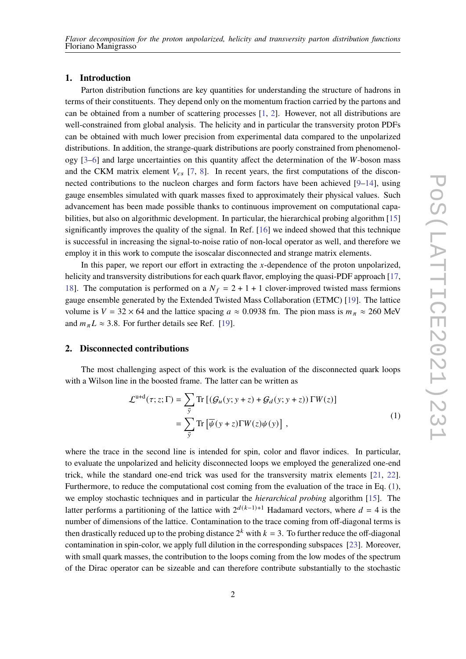# **1. Introduction**

Parton distribution functions are key quantities for understanding the structure of hadrons in terms of their constituents. They depend only on the momentum fraction carried by the partons and can be obtained from a number of scattering processes [\[1,](#page-7-0) [2\]](#page-7-1). However, not all distributions are well-constrained from global analysis. The helicity and in particular the transversity proton PDFs can be obtained with much lower precision from experimental data compared to the unpolarized distributions. In addition, the strange-quark distributions are poorly constrained from phenomenology  $[3-6]$  $[3-6]$  and large uncertainties on this quantity affect the determination of the W-boson mass and the CKM matrix element  $V_{cs}$  [\[7,](#page-8-2) [8\]](#page-8-3). In recent years, the first computations of the disconnected contributions to the nucleon charges and form factors have been achieved  $[9-14]$  $[9-14]$ , using gauge ensembles simulated with quark masses fixed to approximately their physical values. Such advancement has been made possible thanks to continuous improvement on computational capa-bilities, but also on algorithmic development. In particular, the hierarchical probing algorithm [\[15\]](#page-8-6) significantly improves the quality of the signal. In Ref. [\[16\]](#page-8-7) we indeed showed that this technique is successful in increasing the signal-to-noise ratio of non-local operator as well, and therefore we employ it in this work to compute the isoscalar disconnected and strange matrix elements.

In this paper, we report our effort in extracting the  $x$ -dependence of the proton unpolarized, helicity and transversity distributions for each quark flavor, employing the quasi-PDF approach [\[17,](#page-8-8) [18\]](#page-8-9). The computation is performed on a  $N_f = 2 + 1 + 1$  clover-improved twisted mass fermions gauge ensemble generated by the Extended Twisted Mass Collaboration (ETMC) [\[19\]](#page-8-10). The lattice volume is  $V = 32 \times 64$  and the lattice spacing  $a \approx 0.0938$  fm. The pion mass is  $m_{\pi} \approx 260$  MeV and  $m_{\pi}L \approx 3.8$ . For further details see Ref. [\[19\]](#page-8-10).

# **2. Disconnected contributions**

The most challenging aspect of this work is the evaluation of the disconnected quark loops with a Wilson line in the boosted frame. The latter can be written as

$$
\mathcal{L}^{\mathrm{u+d}}(\tau; z; \Gamma) = \sum_{\vec{y}} \mathrm{Tr} \left[ \left( \mathcal{G}_u(y; y+z) + \mathcal{G}_d(y; y+z) \right) \Gamma W(z) \right] \n= \sum_{\vec{y}} \mathrm{Tr} \left[ \overline{\psi}(y+z) \Gamma W(z) \psi(y) \right],
$$
\n(1)

<span id="page-1-0"></span>where the trace in the second line is intended for spin, color and flavor indices. In particular, to evaluate the unpolarized and helicity disconnected loops we employed the generalized one-end trick, while the standard one-end trick was used for the transversity matrix elements [\[21,](#page-8-11) [22\]](#page-8-12). Furthermore, to reduce the computational cost coming from the evaluation of the trace in Eq. [\(1\)](#page-1-0), we employ stochastic techniques and in particular the *hierarchical probing* algorithm [\[15\]](#page-8-6). The latter performs a partitioning of the lattice with  $2^{d(k-1)+1}$  Hadamard vectors, where  $d = 4$  is the number of dimensions of the lattice. Contamination to the trace coming from off-diagonal terms is then drastically reduced up to the probing distance  $2^k$  with  $k = 3$ . To further reduce the off-diagonal contamination in spin-color, we apply full dilution in the corresponding subspaces [\[23\]](#page-8-13). Moreover, with small quark masses, the contribution to the loops coming from the low modes of the spectrum of the Dirac operator can be sizeable and can therefore contribute substantially to the stochastic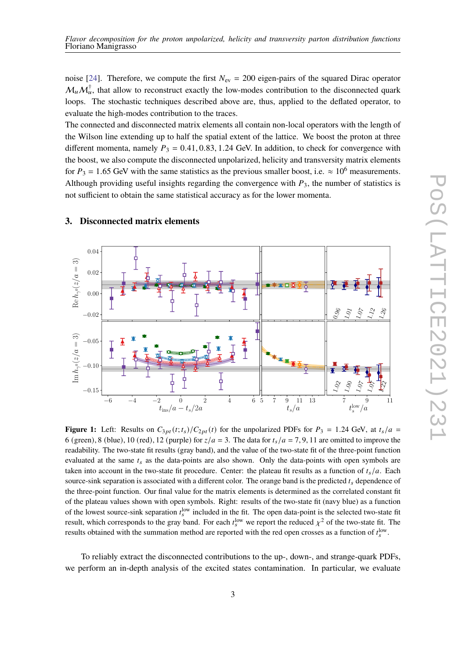noise [\[24\]](#page-8-14). Therefore, we compute the first  $N_{\text{ev}} = 200$  eigen-pairs of the squared Dirac operator  $\mathcal{M}_{u} \mathcal{M}_{u}^{\dagger}$ , that allow to reconstruct exactly the low-modes contribution to the disconnected quark loops. The stochastic techniques described above are, thus, applied to the deflated operator, to evaluate the high-modes contribution to the traces.

The connected and disconnected matrix elements all contain non-local operators with the length of the Wilson line extending up to half the spatial extent of the lattice. We boost the proton at three different momenta, namely  $P_3 = 0.41, 0.83, 1.24$  GeV. In addition, to check for convergence with the boost, we also compute the disconnected unpolarized, helicity and transversity matrix elements for  $P_3 = 1.65$  GeV with the same statistics as the previous smaller boost, i.e.  $\approx 10^6$  measurements. Although providing useful insights regarding the convergence with  $P_3$ , the number of statistics is not sufficient to obtain the same statistical accuracy as for the lower momenta.

<span id="page-2-0"></span>

# <span id="page-2-1"></span>**3. Disconnected matrix elements**

**Figure 1:** Left: Results on  $C_{3pt}(t; t_s)/C_{2pt}(t)$  for the unpolarized PDFs for  $P_3 = 1.24$  GeV, at  $t_s/a =$ 6 (green), 8 (blue), 10 (red), 12 (purple) for  $z/a = 3$ . The data for  $t_s/a = 7, 9, 11$  are omitted to improve the readability. The two-state fit results (gray band), and the value of the two-state fit of the three-point function evaluated at the same  $t_s$  as the data-points are also shown. Only the data-points with open symbols are taken into account in the two-state fit procedure. Center: the plateau fit results as a function of  $t_s/a$ . Each source-sink separation is associated with a different color. The orange band is the predicted  $t_s$  dependence of the three-point function. Our final value for the matrix elements is determined as the correlated constant fit of the plateau values shown with open symbols. Right: results of the two-state fit (navy blue) as a function of the lowest source-sink separation  $t_s^{\text{low}}$  included in the fit. The open data-point is the selected two-state fit result, which corresponds to the gray band. For each  $t_s^{\text{low}}$  we report the reduced  $\chi^2$  of the two-state fit. The results obtained with the summation method are reported with the red open crosses as a function of  $t_s^{\text{low}}$ .

To reliably extract the disconnected contributions to the up-, down-, and strange-quark PDFs, we perform an in-depth analysis of the excited states contamination. In particular, we evaluate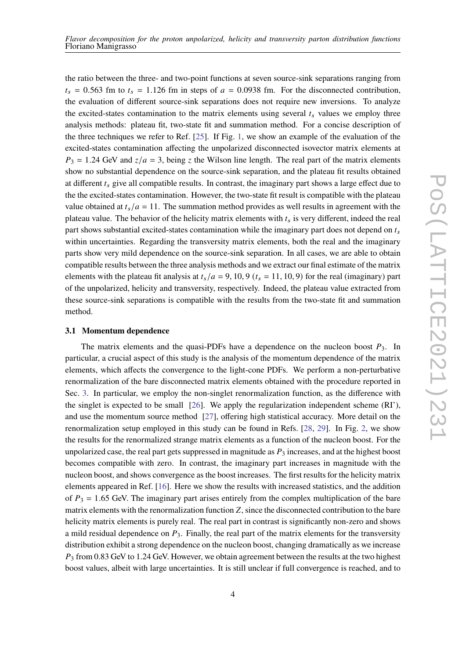the ratio between the three- and two-point functions at seven source-sink separations ranging from  $t_s = 0.563$  fm to  $t_s = 1.126$  fm in steps of  $a = 0.0938$  fm. For the disconnected contribution, the evaluation of different source-sink separations does not require new inversions. To analyze the excited-states contamination to the matrix elements using several  $t_s$  values we employ three analysis methods: plateau fit, two-state fit and summation method. For a concise description of the three techniques we refer to Ref. [\[25\]](#page-8-15). If Fig. [1,](#page-2-0) we show an example of the evaluation of the excited-states contamination affecting the unpolarized disconnected isovector matrix elements at  $P_3 = 1.24$  GeV and  $z/a = 3$ , being z the Wilson line length. The real part of the matrix elements show no substantial dependence on the source-sink separation, and the plateau fit results obtained at different  $t_s$  give all compatible results. In contrast, the imaginary part shows a large effect due to the the excited-states contamination. However, the two-state fit result is compatible with the plateau value obtained at  $t_s/a = 11$ . The summation method provides as well results in agreement with the plateau value. The behavior of the helicity matrix elements with  $t_s$  is very different, indeed the real part shows substantial excited-states contamination while the imaginary part does not depend on  $t_s$ within uncertainties. Regarding the transversity matrix elements, both the real and the imaginary parts show very mild dependence on the source-sink separation. In all cases, we are able to obtain compatible results between the three analysis methods and we extract our final estimate of the matrix elements with the plateau fit analysis at  $t_s/a = 9$ , 10, 9 ( $t_s = 11$ , 10, 9) for the real (imaginary) part of the unpolarized, helicity and transversity, respectively. Indeed, the plateau value extracted from these source-sink separations is compatible with the results from the two-state fit and summation method.

# **3.1 Momentum dependence**

The matrix elements and the quasi-PDFs have a dependence on the nucleon boost  $P_3$ . In particular, a crucial aspect of this study is the analysis of the momentum dependence of the matrix elements, which affects the convergence to the light-cone PDFs. We perform a non-perturbative renormalization of the bare disconnected matrix elements obtained with the procedure reported in Sec. [3.](#page-2-1) In particular, we employ the non-singlet renormalization function, as the difference with the singlet is expected to be small [\[26\]](#page-8-16). We apply the regularization independent scheme (RI'), and use the momentum source method [\[27\]](#page-8-17), offering high statistical accuracy. More detail on the renormalization setup employed in this study can be found in Refs. [\[28,](#page-9-0) [29\]](#page-9-1). In Fig. [2,](#page-4-0) we show the results for the renormalized strange matrix elements as a function of the nucleon boost. For the unpolarized case, the real part gets suppressed in magnitude as  $P_3$  increases, and at the highest boost becomes compatible with zero. In contrast, the imaginary part increases in magnitude with the nucleon boost, and shows convergence as the boost increases. The first results for the helicity matrix elements appeared in Ref. [\[16\]](#page-8-7). Here we show the results with increased statistics, and the addition of  $P_3 = 1.65$  GeV. The imaginary part arises entirely from the complex multiplication of the bare matrix elements with the renormalization function  $Z$ , since the disconnected contribution to the bare helicity matrix elements is purely real. The real part in contrast is significantly non-zero and shows a mild residual dependence on  $P_3$ . Finally, the real part of the matrix elements for the transversity distribution exhibit a strong dependence on the nucleon boost, changing dramatically as we increase  $P_3$  from 0.83 GeV to 1.24 GeV. However, we obtain agreement between the results at the two highest boost values, albeit with large uncertainties. It is still unclear if full convergence is reached, and to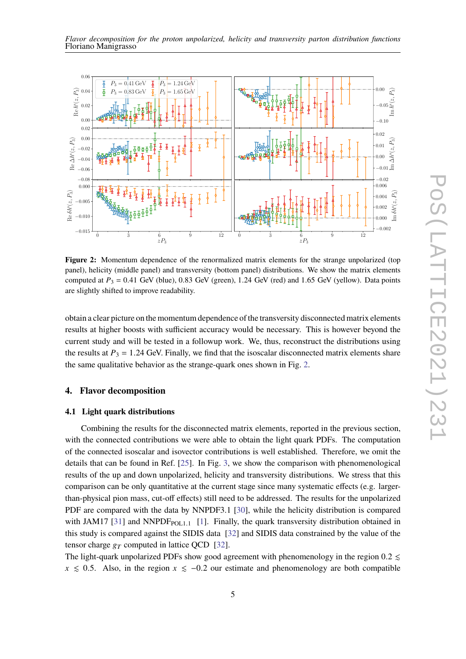

<span id="page-4-0"></span>

**Figure 2:** Momentum dependence of the renormalized matrix elements for the strange unpolarized (top panel), helicity (middle panel) and transversity (bottom panel) distributions. We show the matrix elements computed at  $P_3 = 0.41$  GeV (blue), 0.83 GeV (green), 1.24 GeV (red) and 1.65 GeV (yellow). Data points are slightly shifted to improve readability.

obtain a clear picture on the momentum dependence of the transversity disconnected matrix elements results at higher boosts with sufficient accuracy would be necessary. This is however beyond the current study and will be tested in a followup work. We, thus, reconstruct the distributions using the results at  $P_3 = 1.24$  GeV. Finally, we find that the isoscalar disconnected matrix elements share the same qualitative behavior as the strange-quark ones shown in Fig. [2.](#page-4-0)

# **4. Flavor decomposition**

#### **4.1 Light quark distributions**

Combining the results for the disconnected matrix elements, reported in the previous section, with the connected contributions we were able to obtain the light quark PDFs. The computation of the connected isoscalar and isovector contributions is well established. Therefore, we omit the details that can be found in Ref. [\[25\]](#page-8-15). In Fig. [3,](#page-5-0) we show the comparison with phenomenological results of the up and down unpolarized, helicity and transversity distributions. We stress that this comparison can be only quantitative at the current stage since many systematic effects (e.g. largerthan-physical pion mass, cut-off effects) still need to be addressed. The results for the unpolarized PDF are compared with the data by NNPDF3.1 [\[30\]](#page-9-2), while the helicity distribution is compared with JAM17 [\[31\]](#page-9-3) and NNPDF $_{POL1.1}$  [\[1\]](#page-7-0). Finally, the quark transversity distribution obtained in this study is compared against the SIDIS data [\[32\]](#page-9-4) and SIDIS data constrained by the value of the tensor charge  $g_T$  computed in lattice QCD [\[32\]](#page-9-4).

The light-quark unpolarized PDFs show good agreement with phenomenology in the region 0.2  $\leq$  $x \le 0.5$ . Also, in the region  $x \le -0.2$  our estimate and phenomenology are both compatible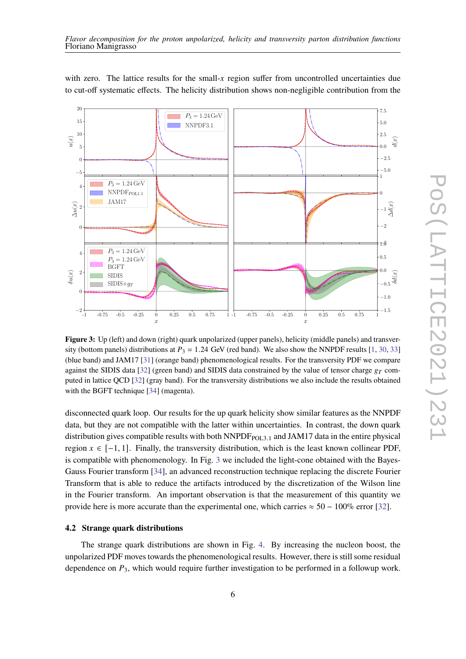<span id="page-5-0"></span>

with zero. The lattice results for the small- $x$  region suffer from uncontrolled uncertainties due to cut-off systematic effects. The helicity distribution shows non-negligible contribution from the

**Figure 3:** Up (left) and down (right) quark unpolarized (upper panels), helicity (middle panels) and transversity (bottom panels) distributions at  $P_3 = 1.24$  GeV (red band). We also show the NNPDF results [\[1,](#page-7-0) [30,](#page-9-2) [33\]](#page-9-5) (blue band) and JAM17 [\[31\]](#page-9-3) (orange band) phenomenological results. For the transversity PDF we compare against the SIDIS data [\[32\]](#page-9-4) (green band) and SIDIS data constrained by the value of tensor charge  $g_T$  computed in lattice QCD [\[32\]](#page-9-4) (gray band). For the transversity distributions we also include the results obtained with the BGFT technique [\[34\]](#page-9-6) (magenta).

disconnected quark loop. Our results for the up quark helicity show similar features as the NNPDF data, but they are not compatible with the latter within uncertainties. In contrast, the down quark distribution gives compatible results with both  $NNPDF<sub>POL3.1</sub>$  and JAM17 data in the entire physical region  $x \in [-1, 1]$ . Finally, the transversity distribution, which is the least known collinear PDF, is compatible with phenomenology. In Fig. [3](#page-5-0) we included the light-cone obtained with the Bayes-Gauss Fourier transform [\[34\]](#page-9-6), an advanced reconstruction technique replacing the discrete Fourier Transform that is able to reduce the artifacts introduced by the discretization of the Wilson line in the Fourier transform. An important observation is that the measurement of this quantity we provide here is more accurate than the experimental one, which carries  $\approx 50 - 100\%$  error [\[32\]](#page-9-4).

# **4.2 Strange quark distributions**

The strange quark distributions are shown in Fig. [4.](#page-6-0) By increasing the nucleon boost, the unpolarized PDF moves towards the phenomenological results. However, there is still some residual dependence on  $P_3$ , which would require further investigation to be performed in a followup work.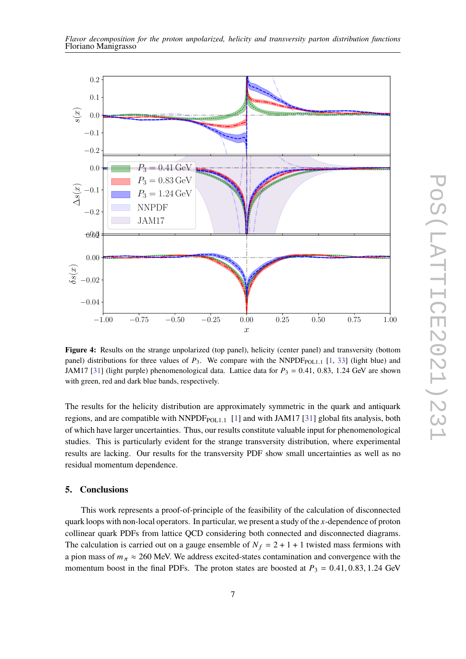

<span id="page-6-0"></span>

**Figure 4:** Results on the strange unpolarized (top panel), helicity (center panel) and transversity (bottom panel) distributions for three values of  $P_3$ . We compare with the NNPDF<sub>POL1.1</sub> [\[1,](#page-7-0) [33\]](#page-9-5) (light blue) and JAM17 [\[31\]](#page-9-3) (light purple) phenomenological data. Lattice data for  $P_3 = 0.41, 0.83, 1.24$  GeV are shown with green, red and dark blue bands, respectively.

The results for the helicity distribution are approximately symmetric in the quark and antiquark regions, and are compatible with  $NNPDF_{POL,1}$  [\[1\]](#page-7-0) and with JAM17 [\[31\]](#page-9-3) global fits analysis, both of which have larger uncertainties. Thus, our results constitute valuable input for phenomenological studies. This is particularly evident for the strange transversity distribution, where experimental results are lacking. Our results for the transversity PDF show small uncertainties as well as no residual momentum dependence.

# **5. Conclusions**

This work represents a proof-of-principle of the feasibility of the calculation of disconnected quark loops with non-local operators. In particular, we present a study of the  $x$ -dependence of proton collinear quark PDFs from lattice QCD considering both connected and disconnected diagrams. The calculation is carried out on a gauge ensemble of  $N_f = 2 + 1 + 1$  twisted mass fermions with a pion mass of  $m_{\pi} \approx 260$  MeV. We address excited-states contamination and convergence with the momentum boost in the final PDFs. The proton states are boosted at  $P_3 = 0.41, 0.83, 1.24$  GeV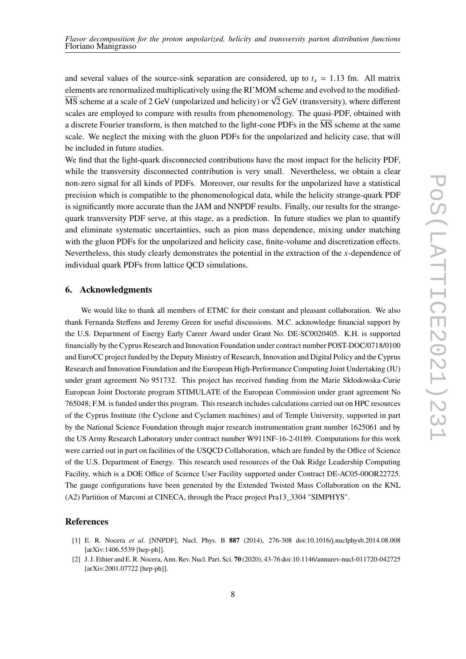and several values of the source-sink separation are considered, up to  $t_s = 1.13$  fm. All matrix elements are renormalized multiplicatively using the RI'MOM scheme and evolved to the modified-EXEMENT BETWEEN INTERFERIERATIVELY USING the KI MOW SCHEME and evolved to the modifica-<br>MS scheme at a scale of 2 GeV (unpolarized and helicity) or  $\sqrt{2}$  GeV (transversity), where different scales are employed to compare with results from phenomenology. The quasi-PDF, obtained with a discrete Fourier transform, is then matched to the light-cone PDFs in the  $\overline{MS}$  scheme at the same scale. We neglect the mixing with the gluon PDFs for the unpolarized and helicity case, that will be included in future studies.

We find that the light-quark disconnected contributions have the most impact for the helicity PDF, while the transversity disconnected contribution is very small. Nevertheless, we obtain a clear non-zero signal for all kinds of PDFs. Moreover, our results for the unpolarized have a statistical precision which is compatible to the phenomenological data, while the helicity strange-quark PDF is significantly more accurate than the JAM and NNPDF results. Finally, our results for the strangequark transversity PDF serve, at this stage, as a prediction. In future studies we plan to quantify and eliminate systematic uncertainties, such as pion mass dependence, mixing under matching with the gluon PDFs for the unpolarized and helicity case, finite-volume and discretization effects. Nevertheless, this study clearly demonstrates the potential in the extraction of the  $x$ -dependence of individual quark PDFs from lattice QCD simulations.

## **6. Acknowledgments**

We would like to thank all members of ETMC for their constant and pleasant collaboration. We also thank Fernanda Steffens and Jeremy Green for useful discussions. M.C. acknowledge financial support by the U.S. Department of Energy Early Career Award under Grant No. DE-SC0020405. K.H. is supported financially by the Cyprus Research and Innovation Foundation under contract number POST-DOC/0718/0100 and EuroCC project funded by the Deputy Ministry of Research, Innovation and Digital Policy and the Cyprus Research and Innovation Foundation and the European High-Performance Computing Joint Undertaking (JU) under grant agreement No 951732. This project has received funding from the Marie Skłodowska-Curie European Joint Doctorate program STIMULATE of the European Commission under grant agreement No 765048; F.M. is funded under this program. This research includes calculations carried out on HPC resources of the Cyprus Institute (the Cyclone and Cyclamen machines) and of Temple University, supported in part by the National Science Foundation through major research instrumentation grant number 1625061 and by the US Army Research Laboratory under contract number W911NF-16-2-0189. Computations for this work were carried out in part on facilities of the USQCD Collaboration, which are funded by the Office of Science of the U.S. Department of Energy. This research used resources of the Oak Ridge Leadership Computing Facility, which is a DOE Office of Science User Facility supported under Contract DE-AC05-00OR22725. The gauge configurations have been generated by the Extended Twisted Mass Collaboration on the KNL (A2) Partition of Marconi at CINECA, through the Prace project Pra13\_3304 "SIMPHYS".

# **References**

- <span id="page-7-0"></span>[1] E. R. Nocera *et al.* [NNPDF], Nucl. Phys. B **887** (2014), 276-308 doi:10.1016/j.nuclphysb.2014.08.008 [arXiv:1406.5539 [hep-ph]].
- <span id="page-7-1"></span>[2] J. J. Ethier and E. R. Nocera, Ann. Rev. Nucl. Part. Sci. **70** (2020), 43-76 doi:10.1146/annurev-nucl-011720-042725 [arXiv:2001.07722 [hep-ph]].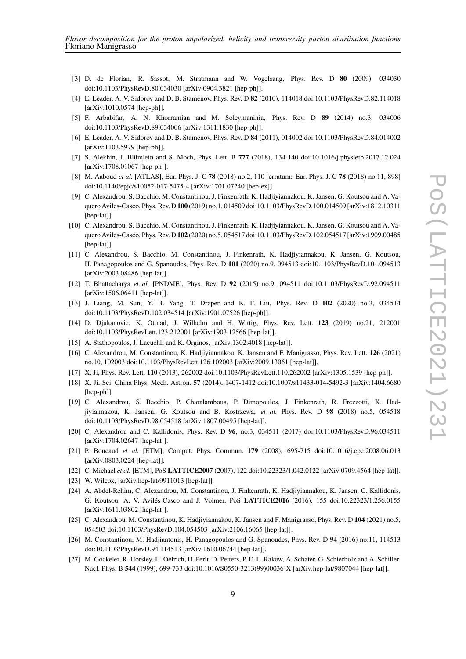- <span id="page-8-0"></span>[3] D. de Florian, R. Sassot, M. Stratmann and W. Vogelsang, Phys. Rev. D **80** (2009), 034030 doi:10.1103/PhysRevD.80.034030 [arXiv:0904.3821 [hep-ph]].
- [4] E. Leader, A. V. Sidorov and D. B. Stamenov, Phys. Rev. D **82** (2010), 114018 doi:10.1103/PhysRevD.82.114018 [arXiv:1010.0574 [hep-ph]].
- [5] F. Arbabifar, A. N. Khorramian and M. Soleymaninia, Phys. Rev. D **89** (2014) no.3, 034006 doi:10.1103/PhysRevD.89.034006 [arXiv:1311.1830 [hep-ph]].
- <span id="page-8-1"></span>[6] E. Leader, A. V. Sidorov and D. B. Stamenov, Phys. Rev. D **84** (2011), 014002 doi:10.1103/PhysRevD.84.014002 [arXiv:1103.5979 [hep-ph]].
- <span id="page-8-2"></span>[7] S. Alekhin, J. Blümlein and S. Moch, Phys. Lett. B **777** (2018), 134-140 doi:10.1016/j.physletb.2017.12.024 [arXiv:1708.01067 [hep-ph]].
- <span id="page-8-3"></span>[8] M. Aaboud *et al.* [ATLAS], Eur. Phys. J. C **78** (2018) no.2, 110 [erratum: Eur. Phys. J. C **78** (2018) no.11, 898] doi:10.1140/epjc/s10052-017-5475-4 [arXiv:1701.07240 [hep-ex]].
- <span id="page-8-4"></span>[9] C. Alexandrou, S. Bacchio, M. Constantinou, J. Finkenrath, K. Hadjiyiannakou, K. Jansen, G. Koutsou and A. Vaquero Aviles-Casco, Phys. Rev. D **100** (2019) no.1, 014509 doi:10.1103/PhysRevD.100.014509 [arXiv:1812.10311 [hep-lat]].
- [10] C. Alexandrou, S. Bacchio, M. Constantinou, J. Finkenrath, K. Hadjiyiannakou, K. Jansen, G. Koutsou and A. Vaquero Aviles-Casco, Phys. Rev. D **102** (2020) no.5, 054517 doi:10.1103/PhysRevD.102.054517 [arXiv:1909.00485 [hep-lat]].
- [11] C. Alexandrou, S. Bacchio, M. Constantinou, J. Finkenrath, K. Hadjiyiannakou, K. Jansen, G. Koutsou, H. Panagopoulos and G. Spanoudes, Phys. Rev. D **101** (2020) no.9, 094513 doi:10.1103/PhysRevD.101.094513 [arXiv:2003.08486 [hep-lat]].
- [12] T. Bhattacharya *et al.* [PNDME], Phys. Rev. D **92** (2015) no.9, 094511 doi:10.1103/PhysRevD.92.094511 [arXiv:1506.06411 [hep-lat]].
- [13] J. Liang, M. Sun, Y. B. Yang, T. Draper and K. F. Liu, Phys. Rev. D **102** (2020) no.3, 034514 doi:10.1103/PhysRevD.102.034514 [arXiv:1901.07526 [hep-ph]].
- <span id="page-8-5"></span>[14] D. Djukanovic, K. Ottnad, J. Wilhelm and H. Wittig, Phys. Rev. Lett. **123** (2019) no.21, 212001 doi:10.1103/PhysRevLett.123.212001 [arXiv:1903.12566 [hep-lat]].
- <span id="page-8-6"></span>[15] A. Stathopoulos, J. Laeuchli and K. Orginos, [arXiv:1302.4018 [hep-lat]].
- <span id="page-8-7"></span>[16] C. Alexandrou, M. Constantinou, K. Hadjiyiannakou, K. Jansen and F. Manigrasso, Phys. Rev. Lett. **126** (2021) no.10, 102003 doi:10.1103/PhysRevLett.126.102003 [arXiv:2009.13061 [hep-lat]].
- <span id="page-8-8"></span>[17] X. Ji, Phys. Rev. Lett. **110** (2013), 262002 doi:10.1103/PhysRevLett.110.262002 [arXiv:1305.1539 [hep-ph]].
- <span id="page-8-9"></span>[18] X. Ji, Sci. China Phys. Mech. Astron. **57** (2014), 1407-1412 doi:10.1007/s11433-014-5492-3 [arXiv:1404.6680 [hep-ph]].
- <span id="page-8-10"></span>[19] C. Alexandrou, S. Bacchio, P. Charalambous, P. Dimopoulos, J. Finkenrath, R. Frezzotti, K. Hadjiyiannakou, K. Jansen, G. Koutsou and B. Kostrzewa, *et al.* Phys. Rev. D **98** (2018) no.5, 054518 doi:10.1103/PhysRevD.98.054518 [arXiv:1807.00495 [hep-lat]].
- [20] C. Alexandrou and C. Kallidonis, Phys. Rev. D **96**, no.3, 034511 (2017) doi:10.1103/PhysRevD.96.034511 [arXiv:1704.02647 [hep-lat]].
- <span id="page-8-11"></span>[21] P. Boucaud *et al.* [ETM], Comput. Phys. Commun. **179** (2008), 695-715 doi:10.1016/j.cpc.2008.06.013 [arXiv:0803.0224 [hep-lat]].
- <span id="page-8-12"></span>[22] C. Michael *et al.* [ETM], PoS **LATTICE2007** (2007), 122 doi:10.22323/1.042.0122 [arXiv:0709.4564 [hep-lat]].
- <span id="page-8-13"></span>[23] W. Wilcox, [arXiv:hep-lat/9911013 [hep-lat]].
- <span id="page-8-14"></span>[24] A. Abdel-Rehim, C. Alexandrou, M. Constantinou, J. Finkenrath, K. Hadjiyiannakou, K. Jansen, C. Kallidonis, G. Koutsou, A. V. Avilés-Casco and J. Volmer, PoS **LATTICE2016** (2016), 155 doi:10.22323/1.256.0155 [arXiv:1611.03802 [hep-lat]].
- <span id="page-8-15"></span>[25] C. Alexandrou, M. Constantinou, K. Hadjiyiannakou, K. Jansen and F. Manigrasso, Phys. Rev. D **104** (2021) no.5, 054503 doi:10.1103/PhysRevD.104.054503 [arXiv:2106.16065 [hep-lat]].
- <span id="page-8-16"></span>[26] M. Constantinou, M. Hadjiantonis, H. Panagopoulos and G. Spanoudes, Phys. Rev. D **94** (2016) no.11, 114513 doi:10.1103/PhysRevD.94.114513 [arXiv:1610.06744 [hep-lat]].
- <span id="page-8-17"></span>[27] M. Gockeler, R. Horsley, H. Oelrich, H. Perlt, D. Petters, P. E. L. Rakow, A. Schafer, G. Schierholz and A. Schiller, Nucl. Phys. B **544** (1999), 699-733 doi:10.1016/S0550-3213(99)00036-X [arXiv:hep-lat/9807044 [hep-lat]].